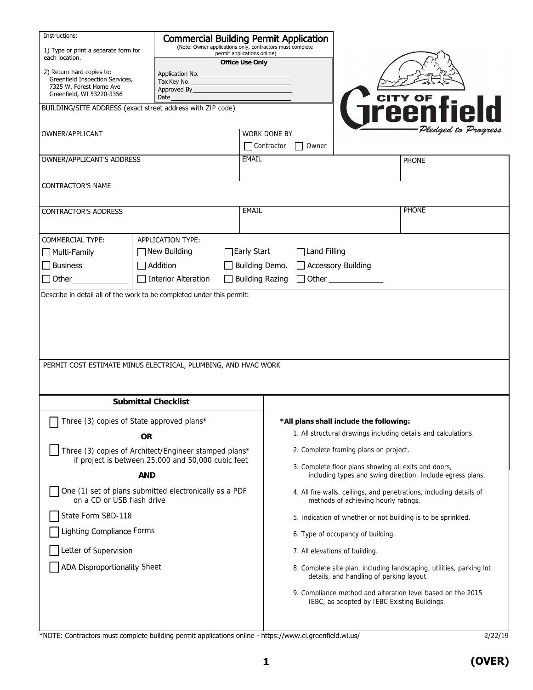| Instructions:<br>1) Type or print a separate form for<br>each location.                                              | <b>Commercial Building Permit Application</b><br>(Note: Owner applications only, contractors must complete<br>permit applications online)<br>Office Use Only                                                                                          |      |                        |                                                                                                                                                             |                                                                                                             |  |  |
|----------------------------------------------------------------------------------------------------------------------|-------------------------------------------------------------------------------------------------------------------------------------------------------------------------------------------------------------------------------------------------------|------|------------------------|-------------------------------------------------------------------------------------------------------------------------------------------------------------|-------------------------------------------------------------------------------------------------------------|--|--|
| 2) Return hard copies to:<br>Greenfield Inspection Services,<br>7325 W. Forest Home Ave<br>Greenfield, WI 53220-3356 | Application No.<br>Tax Key No. The contract of the contract of the contract of the contract of the contract of the contract of the<br>Approved By the contract of the contract of the contract of the contract of the contract of the contract of the |      |                        |                                                                                                                                                             |                                                                                                             |  |  |
| BUILDING/SITE ADDRESS (exact street address with ZIP code)                                                           |                                                                                                                                                                                                                                                       | Date |                        |                                                                                                                                                             | <b>CITY OF field</b>                                                                                        |  |  |
|                                                                                                                      |                                                                                                                                                                                                                                                       |      |                        |                                                                                                                                                             |                                                                                                             |  |  |
| OWNER/APPLICANT                                                                                                      |                                                                                                                                                                                                                                                       |      | <b>WORK DONE BY</b>    |                                                                                                                                                             | Pledged to Progress                                                                                         |  |  |
|                                                                                                                      |                                                                                                                                                                                                                                                       |      | Contractor<br>Owner    |                                                                                                                                                             |                                                                                                             |  |  |
| OWNER/APPLICANT'S ADDRESS                                                                                            |                                                                                                                                                                                                                                                       |      | EMAIL                  |                                                                                                                                                             | <b>PHONE</b>                                                                                                |  |  |
| <b>CONTRACTOR'S NAME</b>                                                                                             |                                                                                                                                                                                                                                                       |      |                        |                                                                                                                                                             |                                                                                                             |  |  |
| <b>CONTRACTOR'S ADDRESS</b>                                                                                          |                                                                                                                                                                                                                                                       |      |                        |                                                                                                                                                             | <b>PHONE</b>                                                                                                |  |  |
|                                                                                                                      |                                                                                                                                                                                                                                                       |      |                        |                                                                                                                                                             |                                                                                                             |  |  |
| <b>COMMERCIAL TYPE:</b><br>$\Box$ Multi-Family                                                                       | APPLICATION TYPE:<br>$\Box$ New Building                                                                                                                                                                                                              |      | ∏Early Start           | Land Filling                                                                                                                                                |                                                                                                             |  |  |
| $\Box$ Business                                                                                                      | $\Box$ Addition                                                                                                                                                                                                                                       |      | Building Demo.         | □ Accessory Building                                                                                                                                        |                                                                                                             |  |  |
| $\Box$ Other                                                                                                         | Interior Alteration                                                                                                                                                                                                                                   |      | <b>Building Razing</b> | $\Box$ Other _____________                                                                                                                                  |                                                                                                             |  |  |
| PERMIT COST ESTIMATE MINUS ELECTRICAL, PLUMBING, AND HVAC WORK                                                       |                                                                                                                                                                                                                                                       |      |                        |                                                                                                                                                             |                                                                                                             |  |  |
| Submittal Checklist                                                                                                  |                                                                                                                                                                                                                                                       |      |                        |                                                                                                                                                             |                                                                                                             |  |  |
| Three (3) copies of State approved plans*                                                                            |                                                                                                                                                                                                                                                       |      |                        | *All plans shall include the following:                                                                                                                     |                                                                                                             |  |  |
|                                                                                                                      | OR.                                                                                                                                                                                                                                                   |      |                        |                                                                                                                                                             | 1. All structural drawings including details and calculations.                                              |  |  |
| Three (3) copies of Architect/Engineer stamped plans*<br>if project is between 25,000 and 50,000 cubic feet<br>AND   |                                                                                                                                                                                                                                                       |      |                        | 2. Complete framing plans on project.<br>3. Complete floor plans showing all exits and doors,<br>including types and swing direction. Include egress plans. |                                                                                                             |  |  |
|                                                                                                                      |                                                                                                                                                                                                                                                       |      |                        |                                                                                                                                                             |                                                                                                             |  |  |
| One (1) set of plans submitted electronically as a PDF<br>on a CD or USB flash drive                                 |                                                                                                                                                                                                                                                       |      |                        | 4. All fire walls, ceilings, and penetrations, including details of<br>methods of achieving hourly ratings.                                                 |                                                                                                             |  |  |
| State Form SBD-118                                                                                                   |                                                                                                                                                                                                                                                       |      |                        | 5. Indication of whether or not building is to be sprinkled.                                                                                                |                                                                                                             |  |  |
| Lighting Compliance Forms                                                                                            |                                                                                                                                                                                                                                                       |      |                        | 6. Type of occupancy of building.                                                                                                                           |                                                                                                             |  |  |
| Letter of Supervision                                                                                                |                                                                                                                                                                                                                                                       |      |                        | 7. All elevations of building.                                                                                                                              |                                                                                                             |  |  |
| <b>ADA Disproportionality Sheet</b>                                                                                  |                                                                                                                                                                                                                                                       |      |                        | 8. Complete site plan, including landscaping, utilities, parking lot<br>details, and handling of parking layout.                                            |                                                                                                             |  |  |
|                                                                                                                      |                                                                                                                                                                                                                                                       |      |                        |                                                                                                                                                             | 9. Compliance method and alteration level based on the 2015<br>IEBC, as adopted by IEBC Existing Buildings. |  |  |

\*NOTE: Contractors must complete building permit applications online - https://www.ci.greenfield.wi.us/

**(OVER)**